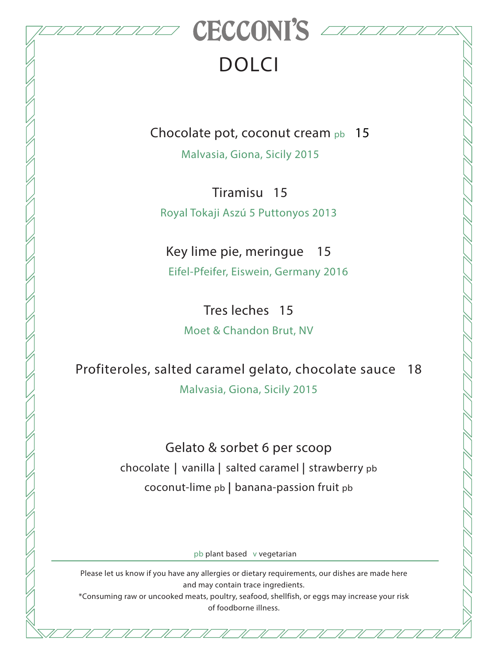

## DOLCI

Chocolate pot, coconut cream pb 15

Malvasia, Giona, Sicily 2015

 Tiramisu 15 Royal Tokaji Aszú 5 Puttonyos 2013

Key lime pie, meringue 15 Eifel-Pfeifer, Eiswein, Germany 2016

Tres leches 15 Moet & Chandon Brut, NV

Profiteroles, salted caramel gelato, chocolate sauce 18 Malvasia, Giona, Sicily 2015

> Gelato & sorbet 6 per scoop chocolate | vanilla | salted caramel | strawberry pb coconut-lime pb | banana-passion fruit pb

> > pb plant based v vegetarian

Please let us know if you have any allergies or dietary requirements, our dishes are made here and may contain trace ingredients.

\*Consuming raw or uncooked meats, poultry, seafood, shellfish, or eggs may increase your risk of foodborne illness.